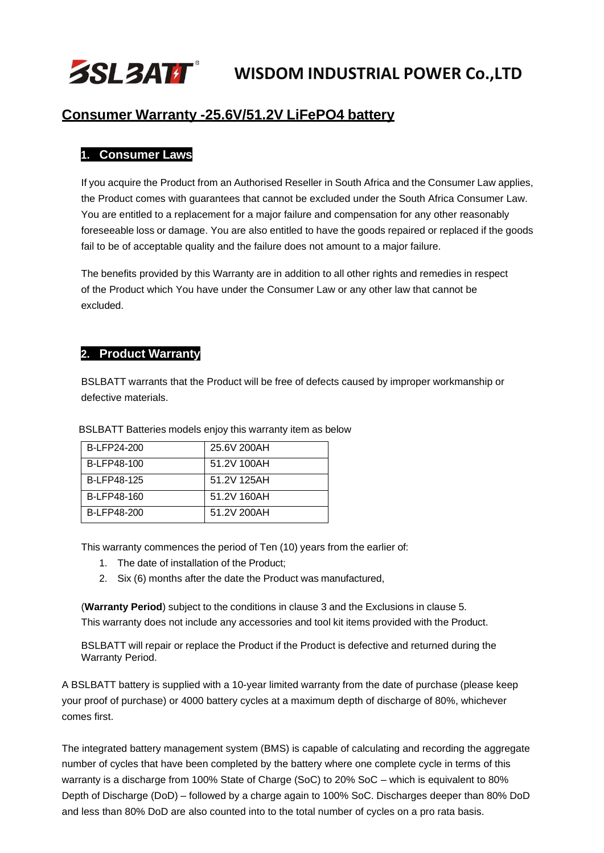

### **Consumer Warranty -25.6V/51.2V LiFePO4 battery**

#### **1. Consumer Laws**

If you acquire the Product from an Authorised Reseller in South Africa and the Consumer Law applies, the Product comes with guarantees that cannot be excluded under the South Africa Consumer Law. You are entitled to a replacement for a major failure and compensation for any other reasonably foreseeable loss or damage. You are also entitled to have the goods repaired or replaced if the goods fail to be of acceptable quality and the failure does not amount to a major failure.

The benefits provided by this Warranty are in addition to all other rights and remedies in respect of the Product which You have under the Consumer Law or any other law that cannot be excluded.

#### **2. Product Warranty**

BSLBATT warrants that the Product will be free of defects caused by improper workmanship or defective materials.

| B-LFP24-200 | 25.6V 200AH |  |
|-------------|-------------|--|
| B-LFP48-100 | 51.2V 100AH |  |
| B-LFP48-125 | 51.2V 125AH |  |
| B-LFP48-160 | 51.2V 160AH |  |
| B-LFP48-200 | 51.2V 200AH |  |

BSLBATT Batteries models enjoy this warranty item as below

This warranty commences the period of Ten (10) years from the earlier of:

- 1. The date of installation of the Product;
- 2. Six (6) months after the date the Product was manufactured,

(**Warranty Period**) subject to the conditions in clause 3 and the Exclusions in clause 5. This warranty does not include any accessories and tool kit items provided with the Product.

BSLBATT will repair or replace the Product if the Product is defective and returned during the Warranty Period.

A BSLBATT battery is supplied with a 10-year limited warranty from the date of purchase (please keep your proof of purchase) or 4000 battery cycles at a maximum depth of discharge of 80%, whichever comes first.

The integrated battery management system (BMS) is capable of calculating and recording the aggregate number of cycles that have been completed by the battery where one complete cycle in terms of this warranty is a discharge from 100% State of Charge (SoC) to 20% SoC – which is equivalent to 80% Depth of Discharge (DoD) – followed by a charge again to 100% SoC. Discharges deeper than 80% DoD and less than 80% DoD are also counted into to the total number of cycles on a pro rata basis.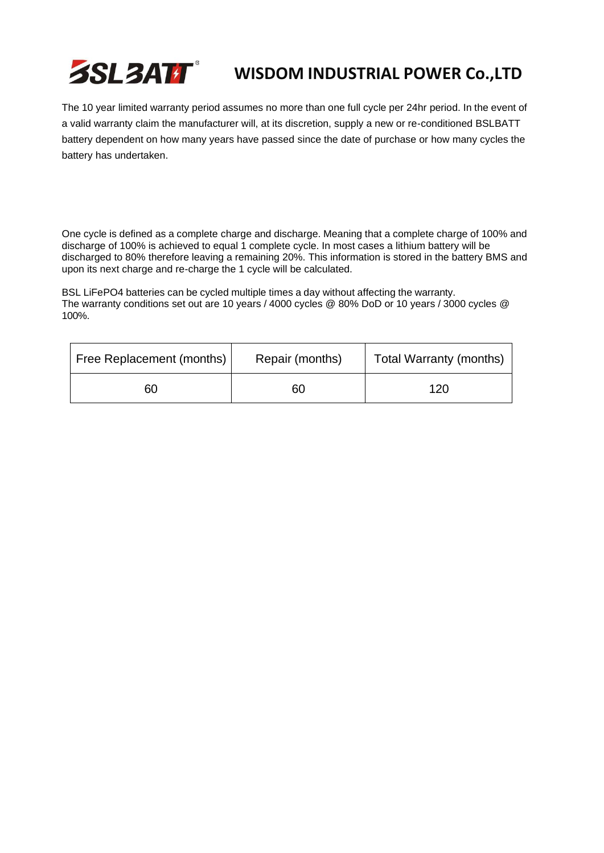# **SSL3ATT**

# **WISDOM INDUSTRIAL POWER Co.,LTD**

The 10 year limited warranty period assumes no more than one full cycle per 24hr period. In the event of a valid warranty claim the manufacturer will, at its discretion, supply a new or re-conditioned BSLBATT battery dependent on how many years have passed since the date of purchase or how many cycles the battery has undertaken.

One cycle is defined as a complete charge and discharge. Meaning that a complete charge of 100% and discharge of 100% is achieved to equal 1 complete cycle. In most cases a lithium battery will be discharged to 80% therefore leaving a remaining 20%. This information is stored in the battery BMS and upon its next charge and re-charge the 1 cycle will be calculated.

BSL LiFePO4 batteries can be cycled multiple times a day without affecting the warranty. The warranty conditions set out are 10 years / 4000 cycles @ 80% DoD or 10 years / 3000 cycles @ 100%.

| Free Replacement (months) | Repair (months) | Total Warranty (months) |
|---------------------------|-----------------|-------------------------|
| 60                        | 60              | 120                     |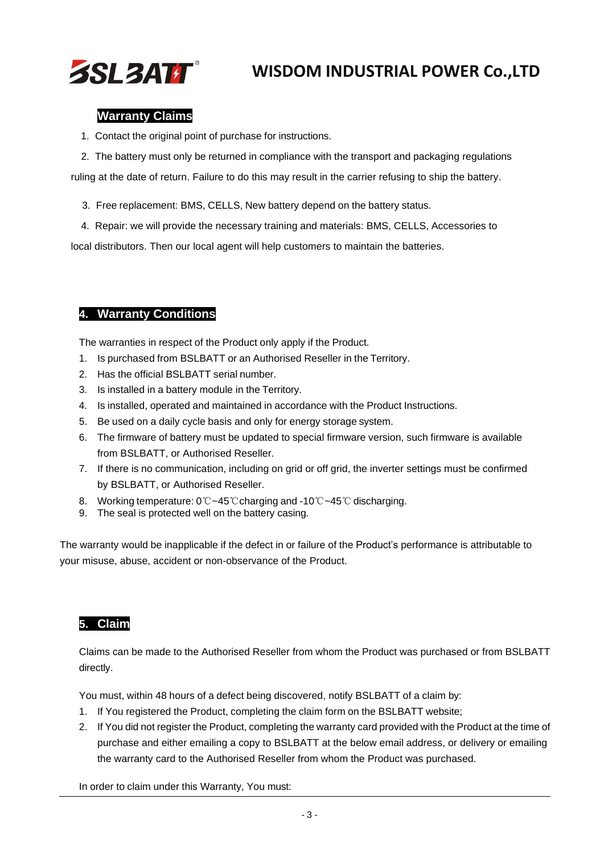

#### **3. Warranty Claims**

- 1. Contact the original point of purchase for instructions.
- 2. The battery must only be returned in compliance with the transport and packaging regulations

ruling at the date of return. Failure to do this may result in the carrier refusing to ship the battery.

- 3. Free replacement: BMS, CELLS, New battery depend on the battery status.
- 4. Repair: we will provide the necessary training and materials: BMS, CELLS, Accessories to

local distributors. Then our local agent will help customers to maintain the batteries.

### **4. Warranty Conditions**

The warranties in respect of the Product only apply if the Product.

- 1. Is purchased from BSLBATT or an Authorised Reseller in the Territory.
- 2. Has the official BSLBATT serial number.
- 3. Is installed in a battery module in the Territory.
- 4. Is installed, operated and maintained in accordance with the Product Instructions.
- 5. Be used on a daily cycle basis and only for energy storage system.
- 6. The firmware of battery must be updated to special firmware version, such firmware is available from BSLBATT, or Authorised Reseller.
- 7. If there is no communication, including on grid or off grid, the inverter settings must be confirmed by BSLBATT, or Authorised Reseller.
- 8. Working temperature: 0℃~45℃charging and -10℃~45℃ discharging.
- 9. The seal is protected well on the battery casing.

The warranty would be inapplicable if the defect in or failure of the Product's performance is attributable to your misuse, abuse, accident or non-observance of the Product.

### **5. Claim**

Claims can be made to the Authorised Reseller from whom the Product was purchased or from BSLBATT directly.

You must, within 48 hours of a defect being discovered, notify BSLBATT of a claim by:

- 1. If You registered the Product, completing the claim form on the BSLBATT website;
- 2. If You did not register the Product, completing the warranty card provided with the Product at the time of purchase and either emailing a copy to BSLBATT at the below email address, or delivery or emailing the warranty card to the Authorised Reseller from whom the Product was purchased.

In order to claim under this Warranty, You must: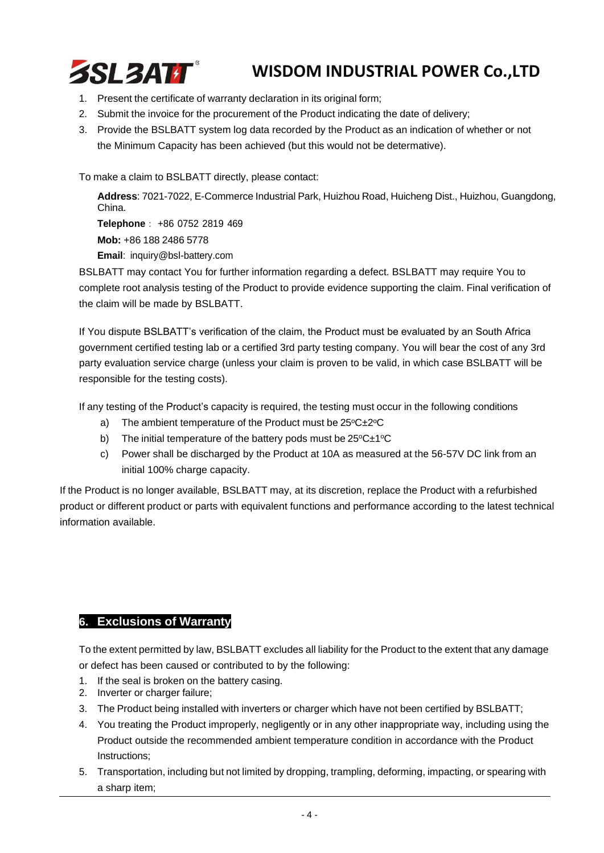

- 1. Present the certificate of warranty declaration in its original form;
- 2. Submit the invoice for the procurement of the Product indicating the date of delivery;
- 3. Provide the BSLBATT system log data recorded by the Product as an indication of whether or not the Minimum Capacity has been achieved (but this would not be determative).

To make a claim to BSLBATT directly, please contact:

**Address**: 7021-7022, E-Commerce Industrial Park, Huizhou Road, Huicheng Dist., Huizhou, Guangdong, China. **Telephone**: +86 0752 2819 469 **Mob:** +86 188 2486 5778 **Email**: [inquiry@bsl-battery.com](mailto:inquiry@bsl-battery.com)

BSLBATT may contact You for further information regarding a defect. BSLBATT may require You to complete root analysis testing of the Product to provide evidence supporting the claim. Final verification of the claim will be made by BSLBATT.

If You dispute BSLBATT's verification of the claim, the Product must be evaluated by an South Africa government certified testing lab or a certified 3rd party testing company. You will bear the cost of any 3rd party evaluation service charge (unless your claim is proven to be valid, in which case BSLBATT will be responsible for the testing costs).

If any testing of the Product's capacity is required, the testing must occur in the following conditions

- a) The ambient temperature of the Product must be  $25^{\circ}C \pm 2^{\circ}C$
- b) The initial temperature of the battery pods must be  $25^{\circ}C \pm 1^{\circ}C$
- c) Power shall be discharged by the Product at 10A as measured at the 56-57V DC link from an initial 100% charge capacity.

If the Product is no longer available, BSLBATT may, at its discretion, replace the Product with a refurbished product or different product or parts with equivalent functions and performance according to the latest technical information available.

#### **6. Exclusions of Warranty**

To the extent permitted by law, BSLBATT excludes all liability for the Product to the extent that any damage or defect has been caused or contributed to by the following:

- 1. If the seal is broken on the battery casing.
- 2. Inverter or charger failure;
- 3. The Product being installed with inverters or charger which have not been certified by BSLBATT;
- 4. You treating the Product improperly, negligently or in any other inappropriate way, including using the Product outside the recommended ambient temperature condition in accordance with the Product Instructions;
- 5. Transportation, including but not limited by dropping, trampling, deforming, impacting, or spearing with a sharp item;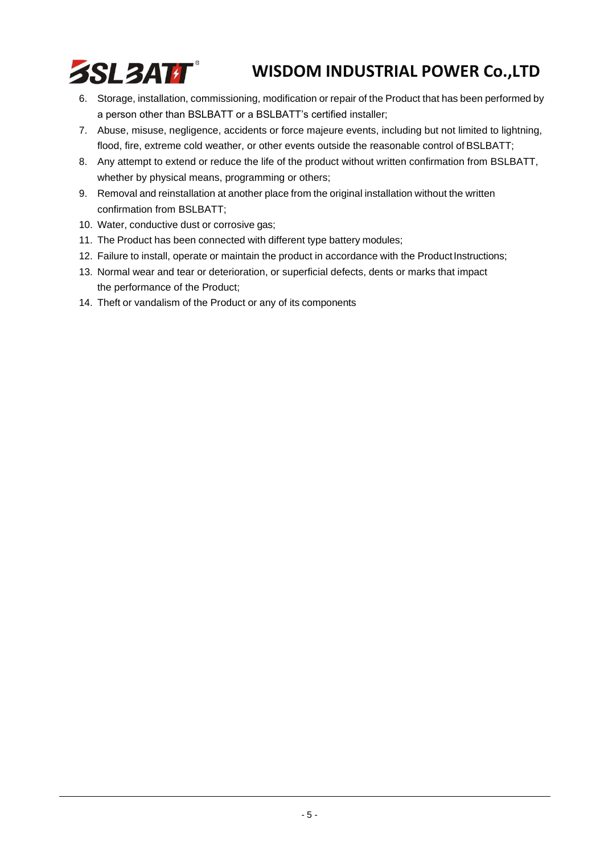

- 6. Storage, installation, commissioning, modification or repair of the Product that has been performed by a person other than BSLBATT or a BSLBATT's certified installer;
- 7. Abuse, misuse, negligence, accidents or force majeure events, including but not limited to lightning, flood, fire, extreme cold weather, or other events outside the reasonable control of BSLBATT;
- 8. Any attempt to extend or reduce the life of the product without written confirmation from BSLBATT, whether by physical means, programming or others;
- 9. Removal and reinstallation at another place from the original installation without the written confirmation from BSLBATT;
- 10. Water, conductive dust or corrosive gas;
- 11. The Product has been connected with different type battery modules;
- 12. Failure to install, operate or maintain the product in accordance with the Product Instructions;
- 13. Normal wear and tear or deterioration, or superficial defects, dents or marks that impact the performance of the Product;
- 14. Theft or vandalism of the Product or any of its components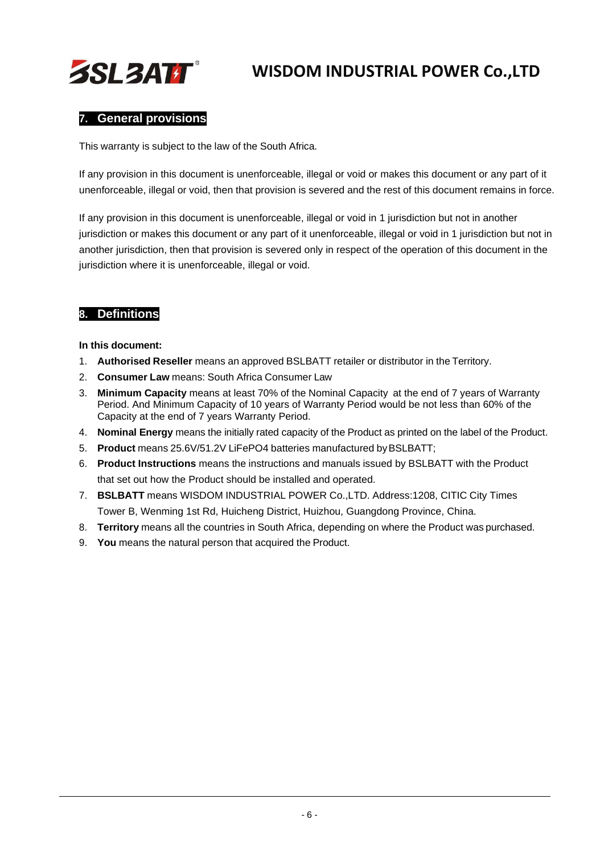

#### **7. General provisions**

This warranty is subject to the law of the South Africa.

If any provision in this document is unenforceable, illegal or void or makes this document or any part of it unenforceable, illegal or void, then that provision is severed and the rest of this document remains in force.

If any provision in this document is unenforceable, illegal or void in 1 jurisdiction but not in another jurisdiction or makes this document or any part of it unenforceable, illegal or void in 1 jurisdiction but not in another jurisdiction, then that provision is severed only in respect of the operation of this document in the jurisdiction where it is unenforceable, illegal or void.

### **8. Definitions**

**In this document:**

- 1. **Authorised Reseller** means an approved BSLBATT retailer or distributor in the Territory.
- 2. **Consumer Law** means: South Africa Consumer Law
- 3. **Minimum Capacity** means at least 70% of the Nominal Capacity at the end of 7 years of Warranty Period. And Minimum Capacity of 10 years of Warranty Period would be not less than 60% of the Capacity at the end of 7 years Warranty Period.
- 4. **Nominal Energy** means the initially rated capacity of the Product as printed on the label of the Product.
- 5. **Product** means 25.6V/51.2V LiFePO4 batteries manufactured byBSLBATT;
- 6. **Product Instructions** means the instructions and manuals issued by BSLBATT with the Product that set out how the Product should be installed and operated.
- 7. **BSLBATT** means WISDOM INDUSTRIAL POWER Co.,LTD. Address:1208, CITIC City Times Tower B, Wenming 1st Rd, Huicheng District, Huizhou, Guangdong Province, China.
- 8. **Territory** means all the countries in South Africa, depending on where the Product was purchased.
- 9. **You** means the natural person that acquired the Product.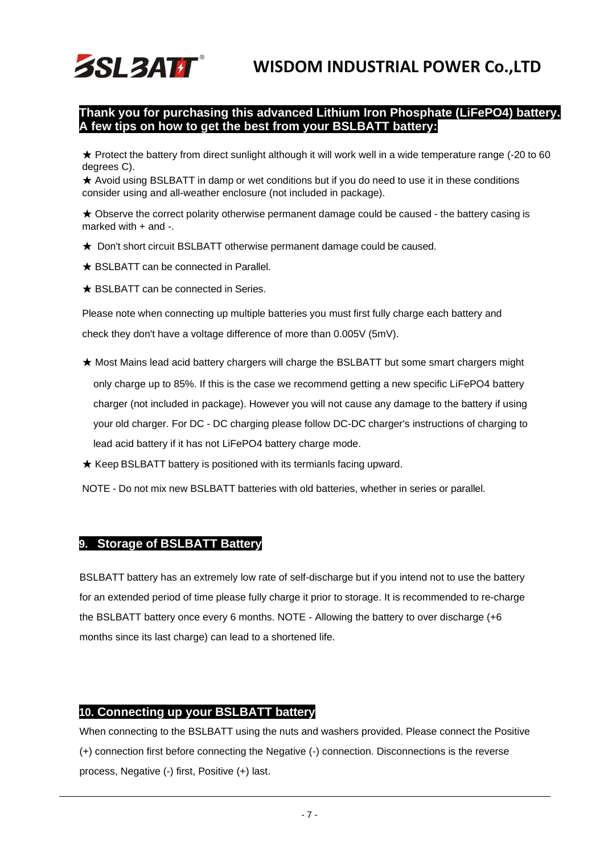### **Thank you for purchasing this advanced Lithium Iron Phosphate (LiFePO4) battery. A few tips on how to get the best from your BSLBATT battery:**

★ Protect the battery from direct sunlight although it will work well in a wide temperature range (-20 to 60 degrees C).

★ Avoid using BSLBATT in damp or wet conditions but if you do need to use it in these conditions consider using and all-weather enclosure (not included in package).

★ Observe the correct polarity otherwise permanent damage could be caused - the battery casing is marked with + and -.

- ★ Don't short circuit BSLBATT otherwise permanent damage could be caused.
- ★ BSLBATT can be connected in Parallel.

**SSL3ATT** 

★ BSLBATT can be connected in Series.

Please note when connecting up multiple batteries you must first fully charge each battery and check they don't have a voltage difference of more than 0.005V (5mV).

- ★ Most Mains lead acid battery chargers will charge the BSLBATT but some smart chargers might only charge up to 85%. If this is the case we recommend getting a new specific LiFePO4 battery charger (not included in package). However you will not cause any damage to the battery if using your old charger. For DC - DC charging please follow DC-DC charger's instructions of charging to lead acid battery if it has not LiFePO4 battery charge mode.
- ★ Keep BSLBATT battery is positioned with its termianls facing upward.

NOTE - Do not mix new BSLBATT batteries with old batteries, whether in series or parallel.

#### **9. Storage of BSLBATT Battery**

BSLBATT battery has an extremely low rate of self-discharge but if you intend not to use the battery for an extended period of time please fully charge it prior to storage. It is recommended to re-charge the BSLBATT battery once every 6 months. NOTE - Allowing the battery to over discharge (+6 months since its last charge) can lead to a shortened life.

#### **10. Connecting up your BSLBATT battery**

When connecting to the BSLBATT using the nuts and washers provided. Please connect the Positive (+) connection first before connecting the Negative (-) connection. Disconnections is the reverse process, Negative (-) first, Positive (+) last.